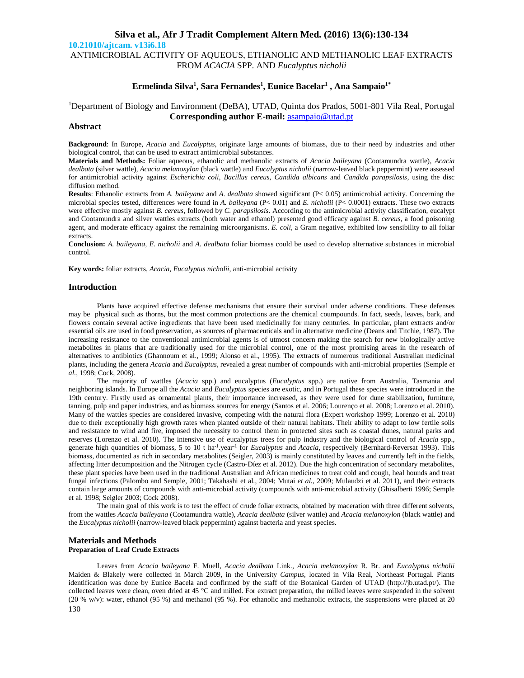# **Silva et al., Afr J Tradit Complement Altern Med. (2016) 13(6):130-134 10.21010/ajtcam. v13i6.18** ANTIMICROBIAL ACTIVITY OF AQUEOUS, ETHANOLIC AND METHANOLIC LEAF EXTRACTS FROM *ACACIA* SPP. AND *Eucalyptus nicholii*

# **Ermelinda Silva<sup>1</sup> , Sara Fernandes<sup>1</sup> , Eunice Bacelar<sup>1</sup> , Ana Sampaio1\***

# <sup>1</sup>Department of Biology and Environment (DeBA), UTAD, Quinta dos Prados, 5001-801 Vila Real, Portugal **Corresponding author E-mail:** asampaio@utad.pt

# **Abstract**

**Background**: In Europe, *Acacia* and *Eucalyptus*, originate large amounts of biomass, due to their need by industries and other biological control, that can be used to extract antimicrobial substances.

**Materials and Methods:** Foliar aqueous, ethanolic and methanolic extracts of *Acacia baileyana* (Cootamundra wattle), *Acacia dealbata* (silver wattle), *Acacia melanoxylon* (black wattle) and *Eucalyptus nicholii* (narrow-leaved black peppermint) were assessed for antimicrobial activity against *Escherichia coli*, *Bacillus cereus*, *Candida albicans* and *Candida parapsilosis*, using the disc diffusion method.

**Results**: Ethanolic extracts from *A. baileyana* and *A. dealbata* showed significant (P< 0.05) antimicrobial activity. Concerning the microbial species tested, differences were found in *A. baileyana* (P< 0.01) and *E. nicholii* (P< 0.0001) extracts. These two extracts were effective mostly against *B. cereus*, followed by *C. parapsilosis*. According to the antimicrobial activity classification, eucalypt and Cootamundra and silver wattles extracts (both water and ethanol) presented good efficacy against *B. cereus*, a food poisoning agent, and moderate efficacy against the remaining microorganisms. *E. coli*, a Gram negative, exhibited low sensibility to all foliar extracts.

**Conclusion:** *A. baileyana*, *E. nicholii* and *A. dealbata* foliar biomass could be used to develop alternative substances in microbial control.

**Key words:** foliar extracts, *Acacia*, *Eucalyptus nicholii*, anti-microbial activity

### **Introduction**

Plants have acquired effective defense mechanisms that ensure their survival under adverse conditions. These defenses may be physical such as thorns, but the most common protections are the chemical coumpounds. In fact, seeds, leaves, bark, and flowers contain several active ingredients that have been used medicinally for many centuries. In particular, plant extracts and/or essential oils are used in food preservation, as sources of pharmaceuticals and in alternative medicine (Deans and Titchie, 1987). The increasing resistance to the conventional antimicrobial agents is of utmost concern making the search for new biologically active metabolites in plants that are traditionally used for the microbial control, one of the most promising areas in the research of alternatives to antibiotics (Ghannoum et al., 1999; Alonso et al., 1995). The extracts of numerous traditional Australian medicinal plants, including the genera *Acacia* and *Eucalyptus*, revealed a great number of compounds with anti-microbial properties (Semple *et al.*, 1998; Cock, 2008).

The majority of wattles (*Acacia* spp.) and eucalyptus (*Eucalyptus* spp.) are native from Australia, Tasmania and neighboring islands. In Europe all the *Acacia* and *Eucalyptus* species are exotic, and in Portugal these species were introduced in the 19th century. Firstly used as ornamental plants, their importance increased, as they were used for dune stabilization, furniture, tanning, pulp and paper industries, and as biomass sources for energy (Santos et al. 2006; Lourenço et al. 2008; Lorenzo et al. 2010). Many of the wattles species are considered invasive, competing with the natural flora (Expert workshop 1999; Lorenzo et al. 2010) due to their exceptionally high growth rates when planted outside of their natural habitats. Their ability to adapt to low fertile soils and resistance to wind and fire, imposed the necessity to control them in protected sites such as coastal dunes, natural parks and reserves (Lorenzo et al. 2010). The intensive use of eucalyptus trees for pulp industry and the biological control of *Acacia* spp., generate high quantities of biomass, 5 to 10 t ha-1.year-1 for *Eucalyptus* and *Acacia*, respectively (Bernhard-Reversat 1993). This biomass, documented as rich in secondary metabolites (Seigler, 2003) is mainly constituted by leaves and currently left in the fields, affecting litter decomposition and the Nitrogen cycle (Castro-Díez et al. 2012). Due the high concentration of secondary metabolites, these plant species have been used in the traditional Australian and African medicines to treat cold and cough, heal hounds and treat fungal infections (Palombo and Semple, 2001; Takahashi et al., 2004; Mutai *et al.*, 2009; Mulaudzi et al. 2011), and their extracts contain large amounts of compounds with anti-microbial activity (compounds with anti-microbial activity (Ghisalberti 1996; Semple et al. 1998; Seigler 2003; Cock 2008).

The main goal of this work is to test the effect of crude foliar extracts, obtained by maceration with three different solvents, from the wattles *Acacia baileyana* (Cootamundra wattle), *Acacia dealbata* (silver wattle) and *Acacia melanoxylon* (black wattle) and the *Eucalyptus nicholii* (narrow-leaved black peppermint) against bacteria and yeast species.

## **Materials and Methods Preparation of Leaf Crude Extracts**

130 Leaves from *Acacia baileyana* F. Muell, *Acacia dealbata* Link., *Acacia melanoxylon* R. Br. and *Eucalyptus nicholii* Maiden & Blakely were collected in March 2009, in the University *Campus*, located in Vila Real, Northeast Portugal. Plants identification was done by Eunice Bacela and confirmed by the staff of the Botanical Garden of UTAD (http://jb.utad.pt/). The collected leaves were clean, oven dried at 45 °C and milled. For extract preparation, the milled leaves were suspended in the solvent (20 % w/v): water, ethanol (95 %) and methanol (95 %). For ethanolic and methanolic extracts, the suspensions were placed at 20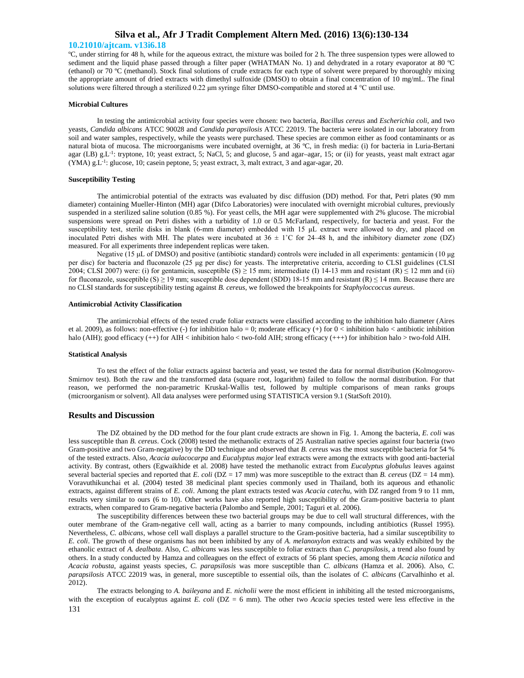### **10.21010/ajtcam. v13i6.18**

ºC, under stirring for 48 h, while for the aqueous extract, the mixture was boiled for 2 h. The three suspension types were allowed to sediment and the liquid phase passed through a filter paper (WHATMAN No. 1) and dehydrated in a rotary evaporator at 80 °C (ethanol) or 70 ºC (methanol). Stock final solutions of crude extracts for each type of solvent were prepared by thoroughly mixing the appropriate amount of dried extracts with dimethyl sulfoxide (DMSO) to obtain a final concentration of 10 mg/mL. The final solutions were filtered through a sterilized 0.22 μm syringe filter DMSO-compatible and stored at 4 °C until use.

#### **Microbial Cultures**

In testing the antimicrobial activity four species were chosen: two bacteria, *Bacillus cereus* and *Escherichia coli*, and two yeasts, *Candida albicans* ATCC 90028 and *Candida parapsilosis* ATCC 22019. The bacteria were isolated in our laboratory from soil and water samples, respectively, while the yeasts were purchased. These species are common either as food contaminants or as natural biota of mucosa. The microorganisms were incubated overnight, at 36 ºC, in fresh media: (i) for bacteria in Luria-Bertani agar (LB) g.L<sup>-1</sup>: tryptone, 10; yeast extract, 5; NaCl, 5; and glucose, 5 and agar-agar, 15; or (ii) for yeasts, yeast malt extract agar  $(YMA)$  g.L<sup>-1</sup>: glucose, 10; casein peptone, 5; yeast extract, 3, malt extract, 3 and agar-agar, 20.

#### **Susceptibility Testing**

The antimicrobial potential of the extracts was evaluated by disc diffusion (DD) method. For that, Petri plates (90 mm diameter) containing Mueller-Hinton (MH) agar (Difco Laboratories) were inoculated with overnight microbial cultures, previously suspended in a sterilized saline solution (0.85 %). For yeast cells, the MH agar were supplemented with 2% glucose. The microbial suspensions were spread on Petri dishes with a turbidity of 1.0 or 0.5 McFarland, respectively, for bacteria and yeast. For the susceptibility test, sterile disks in blank (6-mm diameter) embedded with 15 μL extract were allowed to dry, and placed on inoculated Petri dishes with MH. The plates were incubated at  $36 \pm 1^{\circ}$ C for 24–48 h, and the inhibitory diameter zone (DZ) measured. For all experiments three independent replicas were taken.

Negative (15 μL of DMSO) and positive (antibiotic standard) controls were included in all experiments: gentamicin (10 μg per disc) for bacteria and fluconazole (25 μg per disc) for yeasts. The interpretative criteria, according to CLSI guidelines (CLSI 2004; CLSI 2007) were: (i) for gentamicin, susceptible (S)  $\geq$  15 mm; intermediate (I) 14-13 mm and resistant (R)  $\leq$  12 mm and (ii) for fluconazole, susceptible (S)  $\geq$  19 mm; susceptible dose dependent (SDD) 18-15 mm and resistant (R)  $\leq$  14 mm. Because there are no CLSI standards for susceptibility testing against *B. cereus*, we followed the breakpoints for *Staphyloccoccus aureus*.

#### **Antimicrobial Activity Classification**

The antimicrobial effects of the tested crude foliar extracts were classified according to the inhibition halo diameter (Aires et al. 2009), as follows: non-effective (-) for inhibition halo = 0; moderate efficacy (+) for  $0 <$  inhibition halo  $<$  antibiotic inhibition halo (AIH); good efficacy (++) for AIH < inhibition halo < two-fold AIH; strong efficacy (+++) for inhibition halo > two-fold AIH.

#### **Statistical Analysis**

To test the effect of the foliar extracts against bacteria and yeast, we tested the data for normal distribution (Kolmogorov-Smirnov test). Both the raw and the transformed data (square root, logarithm) failed to follow the normal distribution. For that reason, we performed the non-parametric Kruskal-Wallis test, followed by multiple comparisons of mean ranks groups (microorganism or solvent). All data analyses were performed using STATISTICA version 9.1 (StatSoft 2010).

#### **Results and Discussion**

The DZ obtained by the DD method for the four plant crude extracts are shown in Fig. 1. Among the bacteria, *E. coli* was less susceptible than *B. cereus*. Cock (2008) tested the methanolic extracts of 25 Australian native species against four bacteria (two Gram-positive and two Gram-negative) by the DD technique and observed that *B. cereus* was the most susceptible bacteria for 54 % of the tested extracts. Also, *Acacia aulacocarpa* and *Eucalyptus major* leaf extracts were among the extracts with good anti-bacterial activity. By contrast, others (Egwaikhide et al. 2008) have tested the methanolic extract from *Eucalyptus globulus* leaves against several bacterial species and reported that *E. coli* (DZ = 17 mm) was more susceptible to the extract than *B. cereus* (DZ = 14 mm). Voravuthikunchai et al. (2004) tested 38 medicinal plant species commonly used in Thailand, both its aqueous and ethanolic extracts, against different strains of *E. coli*. Among the plant extracts tested was *Acacia catechu*, with DZ ranged from 9 to 11 mm, results very similar to ours (6 to 10). Other works have also reported high susceptibility of the Gram-positive bacteria to plant extracts, when compared to Gram-negative bacteria (Palombo and Semple, 2001; Taguri et al. 2006).

The susceptibility differences between these two bacterial groups may be due to cell wall structural differences, with the outer membrane of the Gram-negative cell wall, acting as a barrier to many compounds, including antibiotics (Russel 1995). Nevertheless, *C. albicans*, whose cell wall displays a parallel structure to the Gram-positive bacteria, had a similar susceptibility to *E. coli*. The growth of these organisms has not been inhibited by any of *A. melanoxylon* extracts and was weakly exhibited by the ethanolic extract of *A. dealbata*. Also, *C. albicans* was less susceptible to foliar extracts than *C. parapsilosis*, a trend also found by others. In a study conducted by Hamza and colleagues on the effect of extracts of 56 plant species, among them *Acacia nilotica* and *Acacia robusta*, against yeasts species, *C. parapsilosis* was more susceptible than *C. albicans* (Hamza et al. 2006). Also, *C. parapsilosis* ATCC 22019 was, in general, more susceptible to essential oils, than the isolates of *C. albicans* (Carvalhinho et al. 2012).

131 The extracts belonging to *A. baileyana* and *E. nicholii* were the most efficient in inhibiting all the tested microorganisms, with the exception of eucalyptus against *E. coli* (DZ = 6 mm). The other two *Acacia* species tested were less effective in the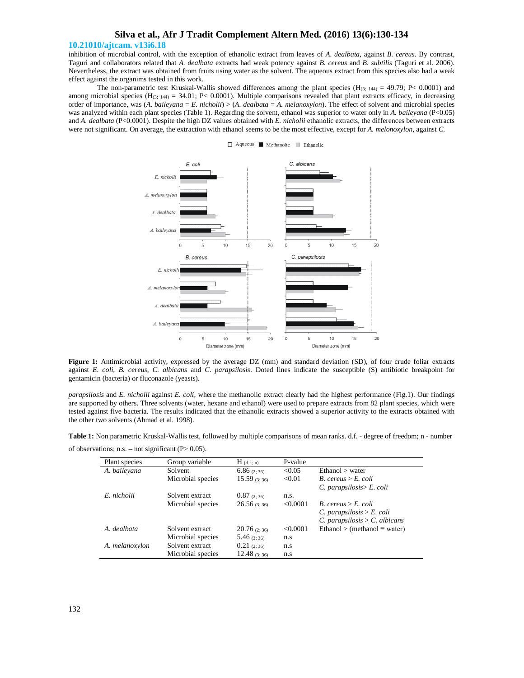### **10.21010/ajtcam. v13i6.18**

inhibition of microbial control, with the exception of ethanolic extract from leaves of *A. dealbata*, against *B. cereus*. By contrast, Taguri and collaborators related that *A. dealbata* extracts had weak potency against *B. cereus* and *B. subtilis* (Taguri et al. 2006). Nevertheless, the extract was obtained from fruits using water as the solvent. The aqueous extract from this species also had a weak effect against the organims tested in this work.

The non-parametric test Kruskal-Wallis showed differences among the plant species  $(H<sub>(3; 144)</sub> = 49.79; P < 0.0001)$  and among microbial species (H<sub>(3; 144)</sub> = 34.01; P< 0.0001). Multiple comparisons revealed that plant extracts efficacy, in decreasing order of importance, was (*A. baileyana* = *E. nicholii*) > (*A. dealbata* = *A. melanoxylon*). The effect of solvent and microbial species was analyzed within each plant species (Table 1). Regarding the solvent, ethanol was superior to water only in *A. baileyana* (P<0.05) and *A. dealbata* (P<0.0001). Despite the high DZ values obtained with *E. nicholii* ethanolic extracts, the differences between extracts were not significant. On average, the extraction with ethanol seems to be the most effective, except for *A. melonoxylon*, against *C.*



Aqueous Methanolic Ethanolic

**Figure 1:** Antimicrobial activity, expressed by the average DZ (mm) and standard deviation (SD), of four crude foliar extracts against *E. coli*, *B. cereus*, *C. albicans* and *C. parapsilosis*. Doted lines indicate the susceptible (S) antibiotic breakpoint for gentamicin (bacteria) or fluconazole (yeasts).

*parapsilosis* and *E. nicholii* against *E. coli*, where the methanolic extract clearly had the highest performance (Fig.1). Our findings are supported by others. Three solvents (water, hexane and ethanol) were used to prepare extracts from 82 plant species, which were tested against five bacteria. The results indicated that the ethanolic extracts showed a superior activity to the extracts obtained with the other two solvents (Ahmad et al. 1998).

**Table 1:** Non parametric Kruskal-Wallis test, followed by multiple comparisons of mean ranks. d.f. - degree of freedom; n - number

of observations; n.s. – not significant ( $P > 0.05$ ).

| Plant species  | Group variable    | $H_{(d.f.; n)}$ | P-value |                                     |
|----------------|-------------------|-----------------|---------|-------------------------------------|
| A. bailevana   | Solvent           | 6.86(2:36)      | < 0.05  | Ethanol > water                     |
|                | Microbial species | $15.59$ (3:36)  | < 0.01  | $B.$ cereus > $E.$ coli             |
|                |                   |                 |         | $C.$ parapsilosis $>E.$ coli        |
| E. nicholii    | Solvent extract   | 0.87(2:36)      | n.s.    |                                     |
|                | Microbial species | 26.56(3.36)     | <0.0001 | $B.$ cereus > $E.$ coli             |
|                |                   |                 |         | C. parapsilosis > E. coli           |
|                |                   |                 |         | C. parapsilosis $>$ C. albicans     |
| A. dealbata    | Solvent extract   | 20.76(2:36)     | <0.0001 | Ethanol > (methanol $\equiv$ water) |
|                | Microbial species | 5.46(3.36)      | n.s     |                                     |
| A. melanoxylon | Solvent extract   | 0.21(2:36)      | n.s     |                                     |
|                | Microbial species | 12.48 $(3, 36)$ | n.s     |                                     |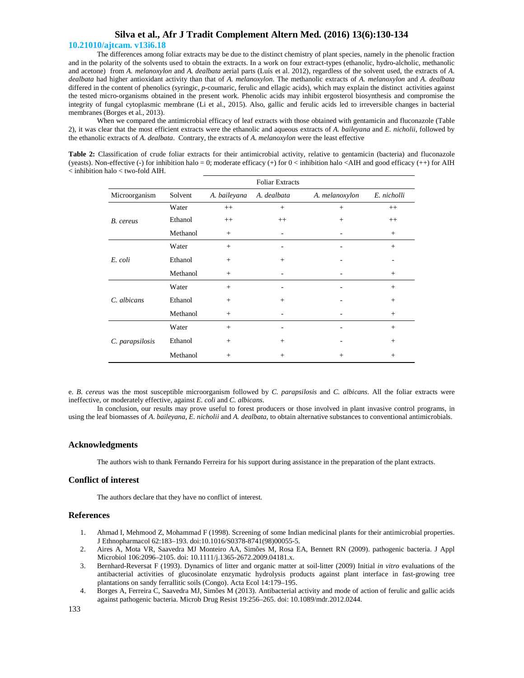## **10.21010/ajtcam. v13i6.18**

The differences among foliar extracts may be due to the distinct chemistry of plant species, namely in the phenolic fraction and in the polarity of the solvents used to obtain the extracts. In a work on four extract-types (ethanolic, hydro-alcholic, methanolic and acetone) from *A. melanoxylon* and *A. dealbata* aerial parts (Luís et al. 2012), regardless of the solvent used, the extracts of *A. dealbata* had higher antioxidant activity than that of *A. melanoxylon*. The methanolic extracts of *A. melanoxylon* and *A. dealbata* differed in the content of phenolics (syringic, *p*-coumaric, ferulic and ellagic acids), which may explain the distinct activities against the tested micro-organisms obtained in the present work. Phenolic acids may inhibit ergosterol biosynthesis and compromise the integrity of fungal cytoplasmic membrane (Li et al., 2015). Also, gallic and ferulic acids led to irreversible changes in bacterial membranes (Borges et al., 2013).

When we compared the antimicrobial efficacy of leaf extracts with those obtained with gentamicin and fluconazole (Table 2), it was clear that the most efficient extracts were the ethanolic and aqueous extracts of *A. baileyana* and *E. nicholii*, followed by the ethanolic extracts of *A. dealbata*. Contrary, the extracts of *A. melanoxylon* were the least effective

**Table 2:** Classification of crude foliar extracts for their antimicrobial activity, relative to gentamicin (bacteria) and fluconazole (yeasts). Non-effective (-) for inhibition halo = 0; moderate efficacy (+) for 0 < inhibition halo <AIH and good efficacy (++) for AIH < inhibition halo < two-fold AIH.

|                 | <b>Foliar Extracts</b> |              |                          |                |             |  |  |
|-----------------|------------------------|--------------|--------------------------|----------------|-------------|--|--|
| Microorganism   | Solvent                | A. baileyana | A. dealbata              | A. melanoxylon | E. nicholli |  |  |
| B. cereus       | Water                  | $^{++}$      | $+$                      | $+$            | $++$        |  |  |
|                 | Ethanol                | $++$         | $++$                     | $+$            | $++$        |  |  |
|                 | Methanol               | $+$          | $\overline{\phantom{a}}$ | -              | $^{+}$      |  |  |
| E. coli         | Water                  | $+$          |                          |                | $^{+}$      |  |  |
|                 | Ethanol                | $+$          | $+$                      |                |             |  |  |
|                 | Methanol               | $^{+}$       | ٠                        |                | $^{+}$      |  |  |
| C. albicans     | Water                  | $+$          | ٠                        | ۰              | $+$         |  |  |
|                 | Ethanol                | $+$          | $+$                      |                | $+$         |  |  |
|                 | Methanol               | $+$          | $\overline{\phantom{a}}$ |                | $^{+}$      |  |  |
| C. parapsilosis | Water                  | $+$          |                          |                | $+$         |  |  |
|                 | Ethanol                | $+$          | $+$                      | ۰              | $+$         |  |  |
|                 | Methanol               | $+$          | $^{+}$                   | $^{+}$         | $^{+}$      |  |  |

e. *B. cereus* was the most susceptible microorganism followed by *C. parapsilosis* and *C. albicans*. All the foliar extracts were ineffective, or moderately effective, against *E. coli* and *C. albicans*.

In conclusion, our results may prove useful to forest producers or those involved in plant invasive control programs, in using the leaf biomasses of *A. baileyana*, *E. nicholii* and *A. dealbata*, to obtain alternative substances to conventional antimicrobials.

## **Acknowledgments**

The authors wish to thank Fernando Ferreira for his support during assistance in the preparation of the plant extracts.

## **Conflict of interest**

The authors declare that they have no conflict of interest.

### **References**

- 1. Ahmad I, Mehmood Z, Mohammad F (1998). Screening of some Indian medicinal plants for their antimicrobial properties. J Ethnopharmacol 62:183–193. doi:10.1016/S0378-8741(98)00055-5.
- 2. Aires A, Mota VR, Saavedra MJ Monteiro AA, Simões M, Rosa EA, Bennett RN (2009). pathogenic bacteria. J Appl Microbiol 106:2096–2105. doi: 10.1111/j.1365-2672.2009.04181.x.
- 3. Bernhard-Reversat F (1993). Dynamics of litter and organic matter at soil-litter (2009) Initial *in vitro* evaluations of the antibacterial activities of glucosinolate enzymatic hydrolysis products against plant interface in fast-growing tree plantations on sandy ferrallitic soils (Congo). Acta Ecol 14:179–195.
- 4. Borges A, Ferreira C, Saavedra MJ, Simões M (2013). Antibacterial activity and mode of action of ferulic and gallic acids against pathogenic bacteria. Microb Drug Resist 19:256–265. doi: 10.1089/mdr.2012.0244.